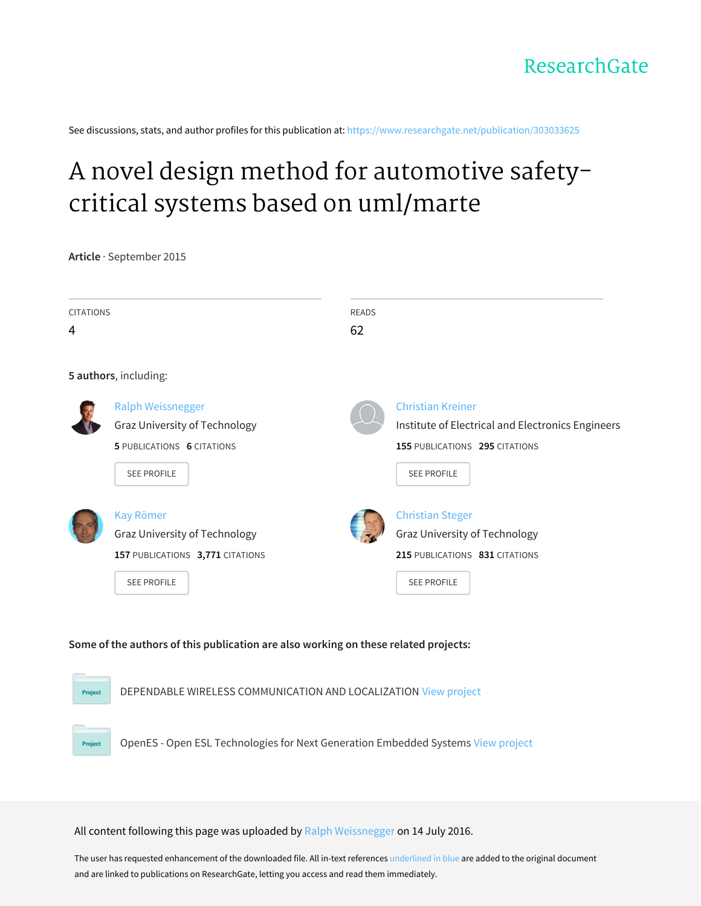See discussions, stats, and author profiles for this publication at: [https://www.researchgate.net/publication/303033625](https://www.researchgate.net/publication/303033625_A_novel_design_method_for_automotive_safety-critical_systems_based_on_umlmarte?enrichId=rgreq-695bbb5fdc4ef9e22aacde369431015d-XXX&enrichSource=Y292ZXJQYWdlOzMwMzAzMzYyNTtBUzozODM2NDUzNzExMjU3NjBAMTQ2ODQ3OTU5MjgwMA%3D%3D&el=1_x_2&_esc=publicationCoverPdf)

# A novel design method for [automotive](https://www.researchgate.net/publication/303033625_A_novel_design_method_for_automotive_safety-critical_systems_based_on_umlmarte?enrichId=rgreq-695bbb5fdc4ef9e22aacde369431015d-XXX&enrichSource=Y292ZXJQYWdlOzMwMzAzMzYyNTtBUzozODM2NDUzNzExMjU3NjBAMTQ2ODQ3OTU5MjgwMA%3D%3D&el=1_x_3&_esc=publicationCoverPdf) safetycritical systems based on uml/marte

**Article** · September 2015

| <b>CITATIONS</b><br>4 |                                                                                                                      | <b>READS</b><br>62 |                                                                                                                                       |
|-----------------------|----------------------------------------------------------------------------------------------------------------------|--------------------|---------------------------------------------------------------------------------------------------------------------------------------|
|                       | 5 authors, including:                                                                                                |                    |                                                                                                                                       |
|                       | <b>Ralph Weissnegger</b><br>Graz University of Technology<br><b>5 PUBLICATIONS 6 CITATIONS</b><br><b>SEE PROFILE</b> |                    | <b>Christian Kreiner</b><br>Institute of Electrical and Electronics Engineers<br>155 PUBLICATIONS 295 CITATIONS<br><b>SEE PROFILE</b> |
|                       | <b>Kay Römer</b><br>Graz University of Technology<br>157 PUBLICATIONS 3,771 CITATIONS<br><b>SEE PROFILE</b>          |                    | <b>Christian Steger</b><br>Graz University of Technology<br>215 PUBLICATIONS 831 CITATIONS<br><b>SEE PROFILE</b>                      |

# **Some of the authors of this publication are also working on these related projects:**



All content following this page was uploaded by Ralph [Weissnegger](https://www.researchgate.net/profile/Ralph_Weissnegger?enrichId=rgreq-695bbb5fdc4ef9e22aacde369431015d-XXX&enrichSource=Y292ZXJQYWdlOzMwMzAzMzYyNTtBUzozODM2NDUzNzExMjU3NjBAMTQ2ODQ3OTU5MjgwMA%3D%3D&el=1_x_10&_esc=publicationCoverPdf) on 14 July 2016.

The user has requested enhancement of the downloaded file. All in-text references underlined in blue are added to the original document and are linked to publications on ResearchGate, letting you access and read them immediately.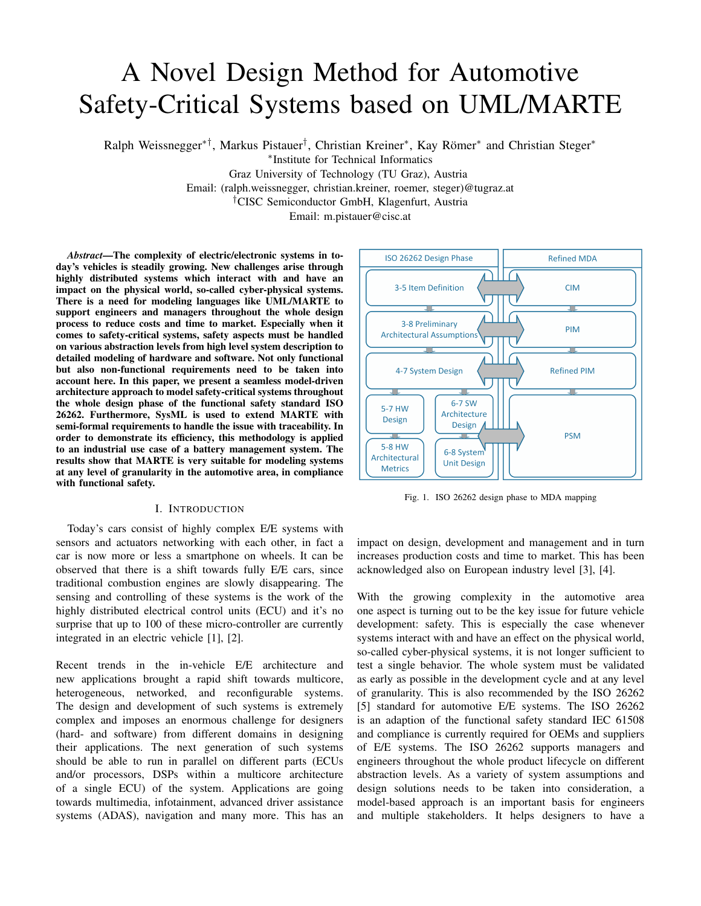# A Novel Design Method for Automotive Safety-Critical Systems based on UML/MARTE

Ralph Weissnegger<sup>\*†</sup>, Markus Pistauer<sup>†</sup>, Christian Kreiner<sup>\*</sup>, Kay Römer<sup>\*</sup> and Christian Steger<sup>\*</sup>

∗ Institute for Technical Informatics

Graz University of Technology (TU Graz), Austria

Email: (ralph.weissnegger, christian.kreiner, roemer, steger)@tugraz.at

†CISC Semiconductor GmbH, Klagenfurt, Austria

Email: m.pistauer@cisc.at

*Abstract*—The complexity of electric/electronic systems in today's vehicles is steadily growing. New challenges arise through highly distributed systems which interact with and have an impact on the physical world, so-called cyber-physical systems. There is a need for modeling languages like UML/MARTE to support engineers and managers throughout the whole design process to reduce costs and time to market. Especially when it comes to safety-critical systems, safety aspects must be handled on various abstraction levels from high level system description to detailed modeling of hardware and software. Not only functional but also non-functional requirements need to be taken into account here. In this paper, we present a seamless model-driven architecture approach to model safety-critical systems throughout the whole design phase of the functional safety standard ISO 26262. Furthermore, SysML is used to extend MARTE with semi-formal requirements to handle the issue with traceability. In order to demonstrate its efficiency, this methodology is applied to an industrial use case of a battery management system. The results show that MARTE is very suitable for modeling systems at any level of granularity in the automotive area, in compliance with functional safety.

#### I. INTRODUCTION

Today's cars consist of highly complex E/E systems with sensors and actuators networking with each other, in fact a car is now more or less a smartphone on wheels. It can be observed that there is a shift towards fully E/E cars, since traditional combustion engines are slowly disappearing. The sensing and controlling of these systems is the work of the highly distributed electrical control units (ECU) and it's no surprise that up to 100 of these micro-controller are currently integrated in an electric vehicle [1], [2].

Recent trends in the in-vehicle E/E architecture and new applications brought a rapid shift towards multicore, heterogeneous, networked, and reconfigurable systems. The design and development of such systems is extremely complex and imposes an enormous challenge for designers (hard- and software) from different domains in designing their applications. The next generation of such systems should be able to run in parallel on different parts (ECUs and/or processors, DSPs within a multicore architecture of a single ECU) of the system. Applications are going towards multimedia, infotainment, advanced driver assistance systems (ADAS), navigation and many more. This has an



Fig. 1. ISO 26262 design phase to MDA mapping

impact on design, development and management and in turn increases production costs and time to market. This has been acknowledged also on European industry level [3], [4].

With the growing complexity in the automotive area one aspect is turning out to be the key issue for future vehicle development: safety. This is especially the case whenever systems interact with and have an effect on the physical world, so-called cyber-physical systems, it is not longer sufficient to test a single behavior. The whole system must be validated as early as possible in the development cycle and at any level of granularity. This is also recommended by the ISO 26262 [5] standard for automotive E/E systems. The ISO 26262 is an adaption of the functional safety standard IEC 61508 and compliance is currently required for OEMs and suppliers of E/E systems. The ISO 26262 supports managers and engineers throughout the whole product lifecycle on different abstraction levels. As a variety of system assumptions and design solutions needs to be taken into consideration, a model-based approach is an important basis for engineers and multiple stakeholders. It helps designers to have a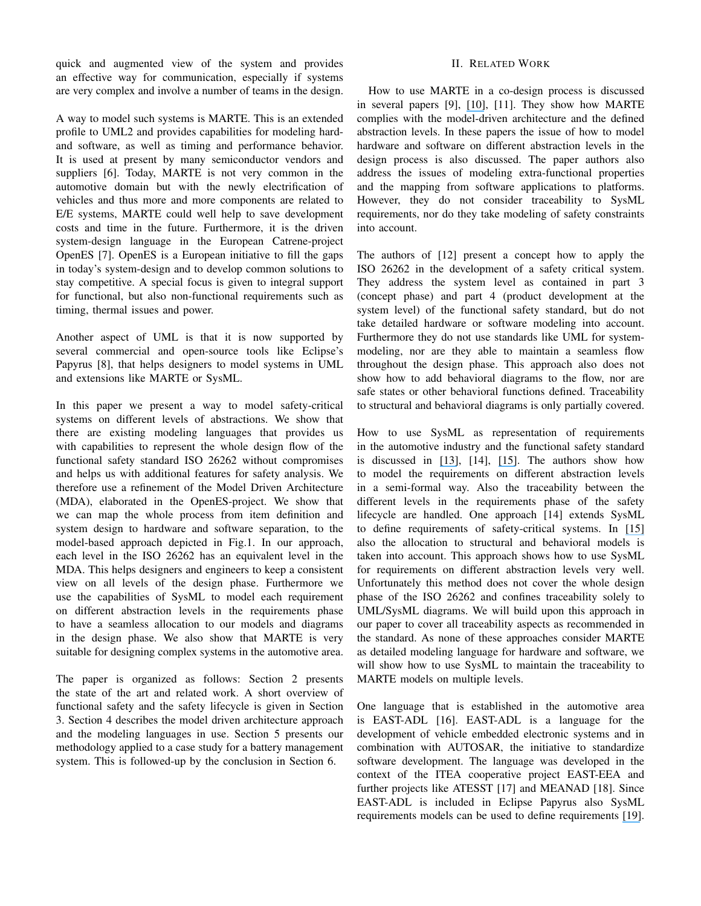quick and augmented view of the system and provides an effective way for communication, especially if systems are very complex and involve a number of teams in the design.

A way to model such systems is MARTE. This is an extended profile to UML2 and provides capabilities for modeling hardand software, as well as timing and performance behavior. It is used at present by many semiconductor vendors and suppliers [6]. Today, MARTE is not very common in the automotive domain but with the newly electrification of vehicles and thus more and more components are related to E/E systems, MARTE could well help to save development costs and time in the future. Furthermore, it is the driven system-design language in the European Catrene-project OpenES [7]. OpenES is a European initiative to fill the gaps in today's system-design and to develop common solutions to stay competitive. A special focus is given to integral support for functional, but also non-functional requirements such as timing, thermal issues and power.

Another aspect of UML is that it is now supported by several commercial and open-source tools like Eclipse's Papyrus [8], that helps designers to model systems in UML and extensions like MARTE or SysML.

In this paper we present a way to model safety-critical systems on different levels of abstractions. We show that there are existing modeling languages that provides us with capabilities to represent the whole design flow of the functional safety standard ISO 26262 without compromises and helps us with additional features for safety analysis. We therefore use a refinement of the Model Driven Architecture (MDA), elaborated in the OpenES-project. We show that we can map the whole process from item definition and system design to hardware and software separation, to the model-based approach depicted in Fig.1. In our approach, each level in the ISO 26262 has an equivalent level in the MDA. This helps designers and engineers to keep a consistent view on all levels of the design phase. Furthermore we use the capabilities of SysML to model each requirement on different abstraction levels in the requirements phase to have a seamless allocation to our models and diagrams in the design phase. We also show that MARTE is very suitable for designing complex systems in the automotive area.

The paper is organized as follows: Section 2 presents the state of the art and related work. A short overview of functional safety and the safety lifecycle is given in Section 3. Section 4 describes the model driven architecture approach and the modeling languages in use. Section 5 presents our methodology applied to a case study for a battery management system. This is followed-up by the conclusion in Section 6.

### II. RELATED WORK

How to use MARTE in a co-design process is discussed in several papers [9], [\[10\]](https://www.researchgate.net/publication/221339185_A_co-design_approach_for_embedded_system_modeling_and_code_generation_with_UML_and_MARTE?el=1_x_8&enrichId=rgreq-695bbb5fdc4ef9e22aacde369431015d-XXX&enrichSource=Y292ZXJQYWdlOzMwMzAzMzYyNTtBUzozODM2NDUzNzExMjU3NjBAMTQ2ODQ3OTU5MjgwMA==), [11]. They show how MARTE complies with the model-driven architecture and the defined abstraction levels. In these papers the issue of how to model hardware and software on different abstraction levels in the design process is also discussed. The paper authors also address the issues of modeling extra-functional properties and the mapping from software applications to platforms. However, they do not consider traceability to SysML requirements, nor do they take modeling of safety constraints into account.

The authors of [12] present a concept how to apply the ISO 26262 in the development of a safety critical system. They address the system level as contained in part 3 (concept phase) and part 4 (product development at the system level) of the functional safety standard, but do not take detailed hardware or software modeling into account. Furthermore they do not use standards like UML for systemmodeling, nor are they able to maintain a seamless flow throughout the design phase. This approach also does not show how to add behavioral diagrams to the flow, nor are safe states or other behavioral functions defined. Traceability to structural and behavioral diagrams is only partially covered.

How to use SysML as representation of requirements in the automotive industry and the functional safety standard is discussed in [\[13\]](https://www.researchgate.net/publication/268191143_Development_Phase_in_Accordance_with_ISO_26262?el=1_x_8&enrichId=rgreq-695bbb5fdc4ef9e22aacde369431015d-XXX&enrichSource=Y292ZXJQYWdlOzMwMzAzMzYyNTtBUzozODM2NDUzNzExMjU3NjBAMTQ2ODQ3OTU5MjgwMA==), [14], [\[15\]](https://www.researchgate.net/publication/283126151_Semi-formal_Representation_of_Requirements_for_Automotive_Solutions_Using_SysML?el=1_x_8&enrichId=rgreq-695bbb5fdc4ef9e22aacde369431015d-XXX&enrichSource=Y292ZXJQYWdlOzMwMzAzMzYyNTtBUzozODM2NDUzNzExMjU3NjBAMTQ2ODQ3OTU5MjgwMA==). The authors show how to model the requirements on different abstraction levels in a semi-formal way. Also the traceability between the different levels in the requirements phase of the safety lifecycle are handled. One approach [14] extends SysML to define requirements of safety-critical systems. In [\[15\]](https://www.researchgate.net/publication/283126151_Semi-formal_Representation_of_Requirements_for_Automotive_Solutions_Using_SysML?el=1_x_8&enrichId=rgreq-695bbb5fdc4ef9e22aacde369431015d-XXX&enrichSource=Y292ZXJQYWdlOzMwMzAzMzYyNTtBUzozODM2NDUzNzExMjU3NjBAMTQ2ODQ3OTU5MjgwMA==) also the allocation to structural and behavioral models is taken into account. This approach shows how to use SysML for requirements on different abstraction levels very well. Unfortunately this method does not cover the whole design phase of the ISO 26262 and confines traceability solely to UML/SysML diagrams. We will build upon this approach in our paper to cover all traceability aspects as recommended in the standard. As none of these approaches consider MARTE as detailed modeling language for hardware and software, we will show how to use SysML to maintain the traceability to MARTE models on multiple levels.

One language that is established in the automotive area is EAST-ADL [16]. EAST-ADL is a language for the development of vehicle embedded electronic systems and in combination with AUTOSAR, the initiative to standardize software development. The language was developed in the context of the ITEA cooperative project EAST-EEA and further projects like ATESST [17] and MEANAD [18]. Since EAST-ADL is included in Eclipse Papyrus also SysML requirements models can be used to define requirements [\[19\]](https://www.researchgate.net/publication/224315323_Experiences_from_a_model-based_methodology_for_embedded_electronic_software_in_automobile?el=1_x_8&enrichId=rgreq-695bbb5fdc4ef9e22aacde369431015d-XXX&enrichSource=Y292ZXJQYWdlOzMwMzAzMzYyNTtBUzozODM2NDUzNzExMjU3NjBAMTQ2ODQ3OTU5MjgwMA==).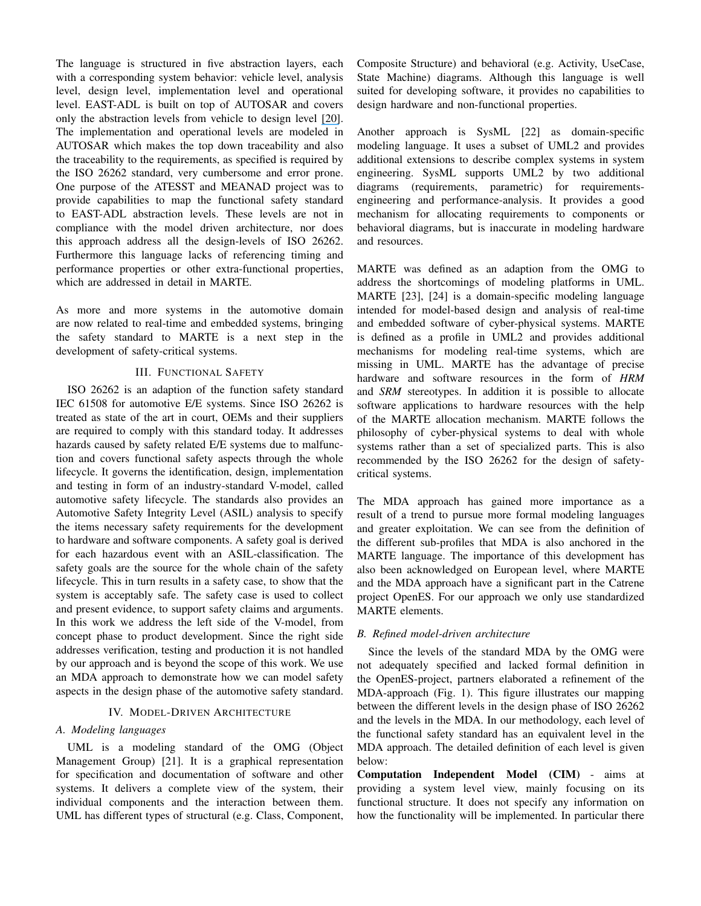The language is structured in five abstraction layers, each with a corresponding system behavior: vehicle level, analysis level, design level, implementation level and operational level. EAST-ADL is built on top of AUTOSAR and covers only the abstraction levels from vehicle to design level [\[20\]](https://www.researchgate.net/publication/221473940_Managing_Complexity_of_Automotive_Electronics_Using_the_EAST-ADL?el=1_x_8&enrichId=rgreq-695bbb5fdc4ef9e22aacde369431015d-XXX&enrichSource=Y292ZXJQYWdlOzMwMzAzMzYyNTtBUzozODM2NDUzNzExMjU3NjBAMTQ2ODQ3OTU5MjgwMA==). The implementation and operational levels are modeled in AUTOSAR which makes the top down traceability and also the traceability to the requirements, as specified is required by the ISO 26262 standard, very cumbersome and error prone. One purpose of the ATESST and MEANAD project was to provide capabilities to map the functional safety standard to EAST-ADL abstraction levels. These levels are not in compliance with the model driven architecture, nor does this approach address all the design-levels of ISO 26262. Furthermore this language lacks of referencing timing and performance properties or other extra-functional properties, which are addressed in detail in MARTE.

As more and more systems in the automotive domain are now related to real-time and embedded systems, bringing the safety standard to MARTE is a next step in the development of safety-critical systems.

#### III. FUNCTIONAL SAFETY

ISO 26262 is an adaption of the function safety standard IEC 61508 for automotive E/E systems. Since ISO 26262 is treated as state of the art in court, OEMs and their suppliers are required to comply with this standard today. It addresses hazards caused by safety related E/E systems due to malfunction and covers functional safety aspects through the whole lifecycle. It governs the identification, design, implementation and testing in form of an industry-standard V-model, called automotive safety lifecycle. The standards also provides an Automotive Safety Integrity Level (ASIL) analysis to specify the items necessary safety requirements for the development to hardware and software components. A safety goal is derived for each hazardous event with an ASIL-classification. The safety goals are the source for the whole chain of the safety lifecycle. This in turn results in a safety case, to show that the system is acceptably safe. The safety case is used to collect and present evidence, to support safety claims and arguments. In this work we address the left side of the V-model, from concept phase to product development. Since the right side addresses verification, testing and production it is not handled by our approach and is beyond the scope of this work. We use an MDA approach to demonstrate how we can model safety aspects in the design phase of the automotive safety standard.

#### IV. MODEL-DRIVEN ARCHITECTURE

#### *A. Modeling languages*

UML is a modeling standard of the OMG (Object Management Group) [21]. It is a graphical representation for specification and documentation of software and other systems. It delivers a complete view of the system, their individual components and the interaction between them. UML has different types of structural (e.g. Class, Component, Composite Structure) and behavioral (e.g. Activity, UseCase, State Machine) diagrams. Although this language is well suited for developing software, it provides no capabilities to design hardware and non-functional properties.

Another approach is SysML [22] as domain-specific modeling language. It uses a subset of UML2 and provides additional extensions to describe complex systems in system engineering. SysML supports UML2 by two additional diagrams (requirements, parametric) for requirementsengineering and performance-analysis. It provides a good mechanism for allocating requirements to components or behavioral diagrams, but is inaccurate in modeling hardware and resources.

MARTE was defined as an adaption from the OMG to address the shortcomings of modeling platforms in UML. MARTE [23], [24] is a domain-specific modeling language intended for model-based design and analysis of real-time and embedded software of cyber-physical systems. MARTE is defined as a profile in UML2 and provides additional mechanisms for modeling real-time systems, which are missing in UML. MARTE has the advantage of precise hardware and software resources in the form of *HRM* and *SRM* stereotypes. In addition it is possible to allocate software applications to hardware resources with the help of the MARTE allocation mechanism. MARTE follows the philosophy of cyber-physical systems to deal with whole systems rather than a set of specialized parts. This is also recommended by the ISO 26262 for the design of safetycritical systems.

The MDA approach has gained more importance as a result of a trend to pursue more formal modeling languages and greater exploitation. We can see from the definition of the different sub-profiles that MDA is also anchored in the MARTE language. The importance of this development has also been acknowledged on European level, where MARTE and the MDA approach have a significant part in the Catrene project OpenES. For our approach we only use standardized MARTE elements.

### *B. Refined model-driven architecture*

Since the levels of the standard MDA by the OMG were not adequately specified and lacked formal definition in the OpenES-project, partners elaborated a refinement of the MDA-approach (Fig. 1). This figure illustrates our mapping between the different levels in the design phase of ISO 26262 and the levels in the MDA. In our methodology, each level of the functional safety standard has an equivalent level in the MDA approach. The detailed definition of each level is given below:

Computation Independent Model (CIM) - aims at providing a system level view, mainly focusing on its functional structure. It does not specify any information on how the functionality will be implemented. In particular there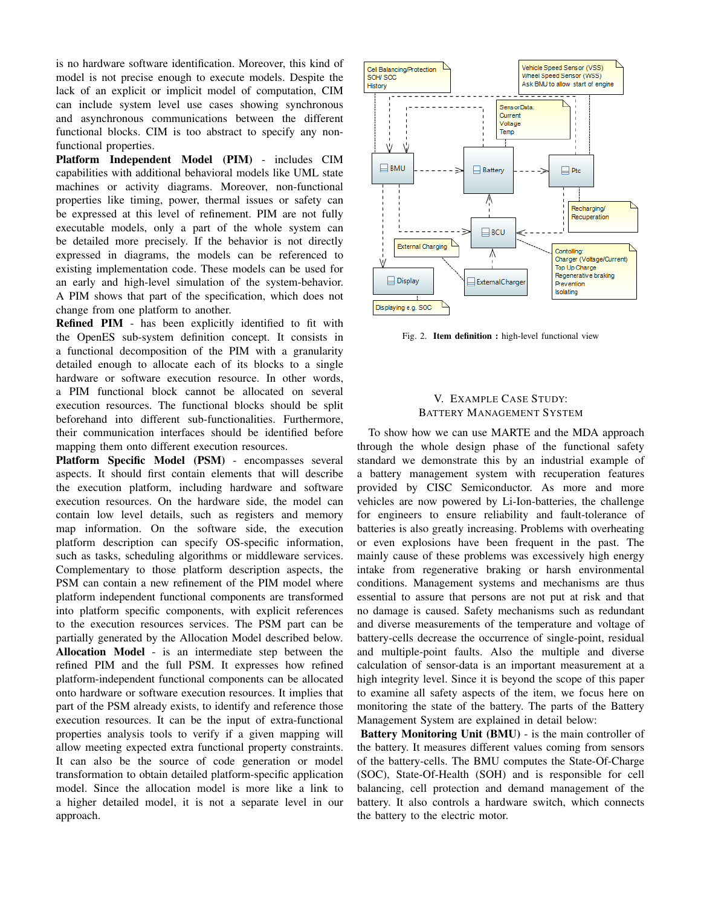is no hardware software identification. Moreover, this kind of model is not precise enough to execute models. Despite the lack of an explicit or implicit model of computation, CIM can include system level use cases showing synchronous and asynchronous communications between the different functional blocks. CIM is too abstract to specify any nonfunctional properties.

Platform Independent Model (PIM) - includes CIM capabilities with additional behavioral models like UML state machines or activity diagrams. Moreover, non-functional properties like timing, power, thermal issues or safety can be expressed at this level of refinement. PIM are not fully executable models, only a part of the whole system can be detailed more precisely. If the behavior is not directly expressed in diagrams, the models can be referenced to existing implementation code. These models can be used for an early and high-level simulation of the system-behavior. A PIM shows that part of the specification, which does not change from one platform to another.

Refined PIM - has been explicitly identified to fit with the OpenES sub-system definition concept. It consists in a functional decomposition of the PIM with a granularity detailed enough to allocate each of its blocks to a single hardware or software execution resource. In other words, a PIM functional block cannot be allocated on several execution resources. The functional blocks should be split beforehand into different sub-functionalities. Furthermore, their communication interfaces should be identified before mapping them onto different execution resources.

Platform Specific Model (PSM) - encompasses several aspects. It should first contain elements that will describe the execution platform, including hardware and software execution resources. On the hardware side, the model can contain low level details, such as registers and memory map information. On the software side, the execution platform description can specify OS-specific information, such as tasks, scheduling algorithms or middleware services. Complementary to those platform description aspects, the PSM can contain a new refinement of the PIM model where platform independent functional components are transformed into platform specific components, with explicit references to the execution resources services. The PSM part can be partially generated by the Allocation Model described below. Allocation Model - is an intermediate step between the refined PIM and the full PSM. It expresses how refined platform-independent functional components can be allocated onto hardware or software execution resources. It implies that part of the PSM already exists, to identify and reference those execution resources. It can be the input of extra-functional properties analysis tools to verify if a given mapping will allow meeting expected extra functional property constraints. It can also be the source of code generation or model transformation to obtain detailed platform-specific application model. Since the allocation model is more like a link to a higher detailed model, it is not a separate level in our approach.



Fig. 2. Item definition : high-level functional view

## V. EXAMPLE CASE STUDY: BATTERY MANAGEMENT SYSTEM

To show how we can use MARTE and the MDA approach through the whole design phase of the functional safety standard we demonstrate this by an industrial example of a battery management system with recuperation features provided by CISC Semiconductor. As more and more vehicles are now powered by Li-Ion-batteries, the challenge for engineers to ensure reliability and fault-tolerance of batteries is also greatly increasing. Problems with overheating or even explosions have been frequent in the past. The mainly cause of these problems was excessively high energy intake from regenerative braking or harsh environmental conditions. Management systems and mechanisms are thus essential to assure that persons are not put at risk and that no damage is caused. Safety mechanisms such as redundant and diverse measurements of the temperature and voltage of battery-cells decrease the occurrence of single-point, residual and multiple-point faults. Also the multiple and diverse calculation of sensor-data is an important measurement at a high integrity level. Since it is beyond the scope of this paper to examine all safety aspects of the item, we focus here on monitoring the state of the battery. The parts of the Battery Management System are explained in detail below:

Battery Monitoring Unit (BMU) - is the main controller of the battery. It measures different values coming from sensors of the battery-cells. The BMU computes the State-Of-Charge (SOC), State-Of-Health (SOH) and is responsible for cell balancing, cell protection and demand management of the battery. It also controls a hardware switch, which connects the battery to the electric motor.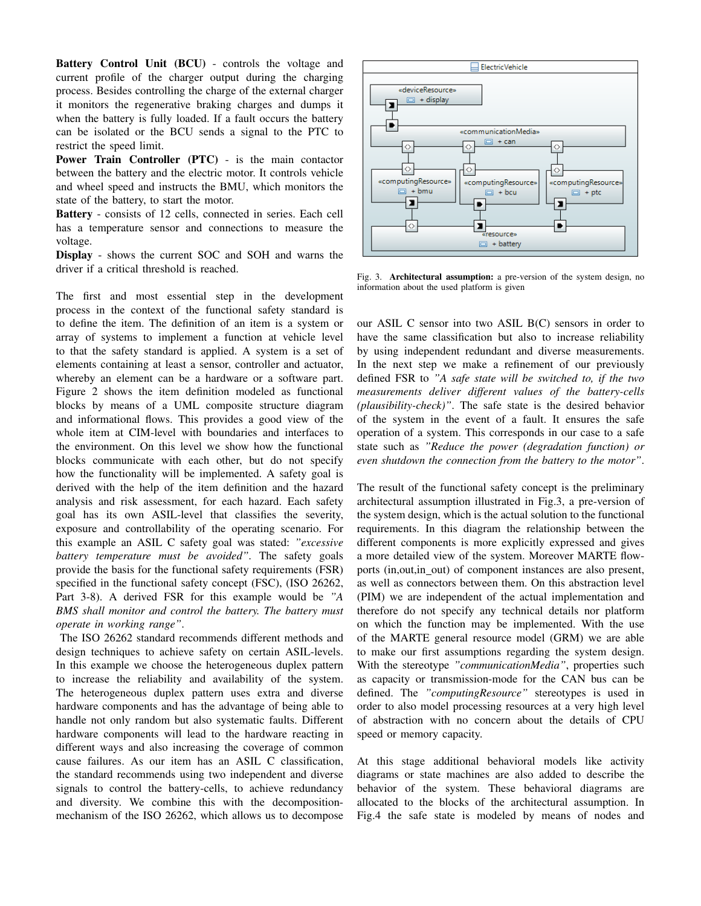Battery Control Unit (BCU) - controls the voltage and current profile of the charger output during the charging process. Besides controlling the charge of the external charger it monitors the regenerative braking charges and dumps it when the battery is fully loaded. If a fault occurs the battery can be isolated or the BCU sends a signal to the PTC to restrict the speed limit.

Power Train Controller (PTC) - is the main contactor between the battery and the electric motor. It controls vehicle and wheel speed and instructs the BMU, which monitors the state of the battery, to start the motor.

Battery - consists of 12 cells, connected in series. Each cell has a temperature sensor and connections to measure the voltage.

Display - shows the current SOC and SOH and warns the driver if a critical threshold is reached.

The first and most essential step in the development process in the context of the functional safety standard is to define the item. The definition of an item is a system or array of systems to implement a function at vehicle level to that the safety standard is applied. A system is a set of elements containing at least a sensor, controller and actuator, whereby an element can be a hardware or a software part. Figure 2 shows the item definition modeled as functional blocks by means of a UML composite structure diagram and informational flows. This provides a good view of the whole item at CIM-level with boundaries and interfaces to the environment. On this level we show how the functional blocks communicate with each other, but do not specify how the functionality will be implemented. A safety goal is derived with the help of the item definition and the hazard analysis and risk assessment, for each hazard. Each safety goal has its own ASIL-level that classifies the severity, exposure and controllability of the operating scenario. For this example an ASIL C safety goal was stated: *"excessive battery temperature must be avoided"*. The safety goals provide the basis for the functional safety requirements (FSR) specified in the functional safety concept (FSC), (ISO 26262, Part 3-8). A derived FSR for this example would be *"A BMS shall monitor and control the battery. The battery must operate in working range"*.

The ISO 26262 standard recommends different methods and design techniques to achieve safety on certain ASIL-levels. In this example we choose the heterogeneous duplex pattern to increase the reliability and availability of the system. The heterogeneous duplex pattern uses extra and diverse hardware components and has the advantage of being able to handle not only random but also systematic faults. Different hardware components will lead to the hardware reacting in different ways and also increasing the coverage of common cause failures. As our item has an ASIL C classification, the standard recommends using two independent and diverse signals to control the battery-cells, to achieve redundancy and diversity. We combine this with the decompositionmechanism of the ISO 26262, which allows us to decompose



Fig. 3. Architectural assumption: a pre-version of the system design, no information about the used platform is given

our ASIL C sensor into two ASIL B(C) sensors in order to have the same classification but also to increase reliability by using independent redundant and diverse measurements. In the next step we make a refinement of our previously defined FSR to *"A safe state will be switched to, if the two measurements deliver different values of the battery-cells (plausibility-check)"*. The safe state is the desired behavior of the system in the event of a fault. It ensures the safe operation of a system. This corresponds in our case to a safe state such as *"Reduce the power (degradation function) or even shutdown the connection from the battery to the motor"*.

The result of the functional safety concept is the preliminary architectural assumption illustrated in Fig.3, a pre-version of the system design, which is the actual solution to the functional requirements. In this diagram the relationship between the different components is more explicitly expressed and gives a more detailed view of the system. Moreover MARTE flowports (in, out, in \_out) of component instances are also present, as well as connectors between them. On this abstraction level (PIM) we are independent of the actual implementation and therefore do not specify any technical details nor platform on which the function may be implemented. With the use of the MARTE general resource model (GRM) we are able to make our first assumptions regarding the system design. With the stereotype *"communicationMedia"*, properties such as capacity or transmission-mode for the CAN bus can be defined. The *"computingResource"* stereotypes is used in order to also model processing resources at a very high level of abstraction with no concern about the details of CPU speed or memory capacity.

At this stage additional behavioral models like activity diagrams or state machines are also added to describe the behavior of the system. These behavioral diagrams are allocated to the blocks of the architectural assumption. In Fig.4 the safe state is modeled by means of nodes and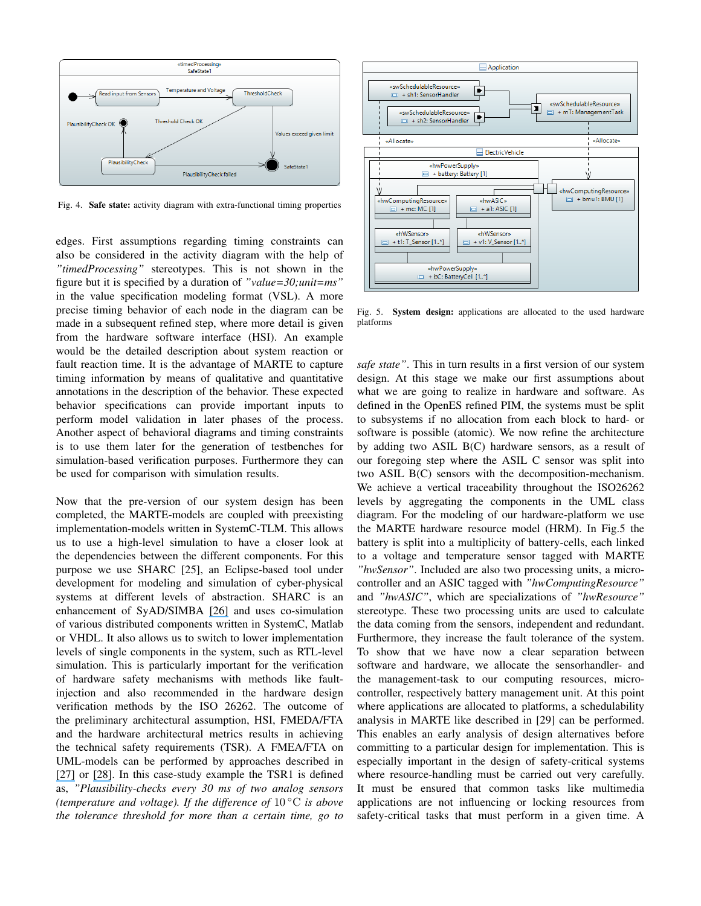

Fig. 4. Safe state: activity diagram with extra-functional timing properties

edges. First assumptions regarding timing constraints can also be considered in the activity diagram with the help of *"timedProcessing"* stereotypes. This is not shown in the figure but it is specified by a duration of *"value=30;unit=ms"* in the value specification modeling format (VSL). A more precise timing behavior of each node in the diagram can be made in a subsequent refined step, where more detail is given from the hardware software interface (HSI). An example would be the detailed description about system reaction or fault reaction time. It is the advantage of MARTE to capture timing information by means of qualitative and quantitative annotations in the description of the behavior. These expected behavior specifications can provide important inputs to perform model validation in later phases of the process. Another aspect of behavioral diagrams and timing constraints is to use them later for the generation of testbenches for simulation-based verification purposes. Furthermore they can be used for comparison with simulation results.

Now that the pre-version of our system design has been completed, the MARTE-models are coupled with preexisting implementation-models written in SystemC-TLM. This allows us to use a high-level simulation to have a closer look at the dependencies between the different components. For this purpose we use SHARC [25], an Eclipse-based tool under development for modeling and simulation of cyber-physical systems at different levels of abstraction. SHARC is an enhancement of SyAD/SIMBA [\[26\]](https://www.researchgate.net/publication/232615709_Automated_simulation-based_verification_of_power_requirements_for_Systems-on-Chips?el=1_x_8&enrichId=rgreq-695bbb5fdc4ef9e22aacde369431015d-XXX&enrichSource=Y292ZXJQYWdlOzMwMzAzMzYyNTtBUzozODM2NDUzNzExMjU3NjBAMTQ2ODQ3OTU5MjgwMA==) and uses co-simulation of various distributed components written in SystemC, Matlab or VHDL. It also allows us to switch to lower implementation levels of single components in the system, such as RTL-level simulation. This is particularly important for the verification of hardware safety mechanisms with methods like faultinjection and also recommended in the hardware design verification methods by the ISO 26262. The outcome of the preliminary architectural assumption, HSI, FMEDA/FTA and the hardware architectural metrics results in achieving the technical safety requirements (TSR). A FMEA/FTA on UML-models can be performed by approaches described in [\[27\]](https://www.researchgate.net/publication/262198322_Automatic_Fault_Tree_Generation_from_SysML_System_Models?el=1_x_8&enrichId=rgreq-695bbb5fdc4ef9e22aacde369431015d-XXX&enrichSource=Y292ZXJQYWdlOzMwMzAzMzYyNTtBUzozODM2NDUzNzExMjU3NjBAMTQ2ODQ3OTU5MjgwMA==) or [\[28\]](https://www.researchgate.net/publication/220773264_Bridging_the_Gap_between_Fault_Trees_and_UML_State_Machine_Diagrams_for_Safety_Analysis?el=1_x_8&enrichId=rgreq-695bbb5fdc4ef9e22aacde369431015d-XXX&enrichSource=Y292ZXJQYWdlOzMwMzAzMzYyNTtBUzozODM2NDUzNzExMjU3NjBAMTQ2ODQ3OTU5MjgwMA==). In this case-study example the TSR1 is defined as, *"Plausibility-checks every 30 ms of two analog sensors (temperature and voltage). If the difference of* 10 ◦C *is above the tolerance threshold for more than a certain time, go to*



Fig. 5. System design: applications are allocated to the used hardware platforms

*safe state"*. This in turn results in a first version of our system design. At this stage we make our first assumptions about what we are going to realize in hardware and software. As defined in the OpenES refined PIM, the systems must be split to subsystems if no allocation from each block to hard- or software is possible (atomic). We now refine the architecture by adding two ASIL B(C) hardware sensors, as a result of our foregoing step where the ASIL C sensor was split into two ASIL B(C) sensors with the decomposition-mechanism. We achieve a vertical traceability throughout the ISO26262 levels by aggregating the components in the UML class diagram. For the modeling of our hardware-platform we use the MARTE hardware resource model (HRM). In Fig.5 the battery is split into a multiplicity of battery-cells, each linked to a voltage and temperature sensor tagged with MARTE *"hwSensor"*. Included are also two processing units, a microcontroller and an ASIC tagged with *"hwComputingResource"* and *"hwASIC"*, which are specializations of *"hwResource"* stereotype. These two processing units are used to calculate the data coming from the sensors, independent and redundant. Furthermore, they increase the fault tolerance of the system. To show that we have now a clear separation between software and hardware, we allocate the sensorhandler- and the management-task to our computing resources, microcontroller, respectively battery management unit. At this point where applications are allocated to platforms, a schedulability analysis in MARTE like described in [29] can be performed. This enables an early analysis of design alternatives before committing to a particular design for implementation. This is especially important in the design of safety-critical systems where resource-handling must be carried out very carefully. It must be ensured that common tasks like multimedia applications are not influencing or locking resources from safety-critical tasks that must perform in a given time. A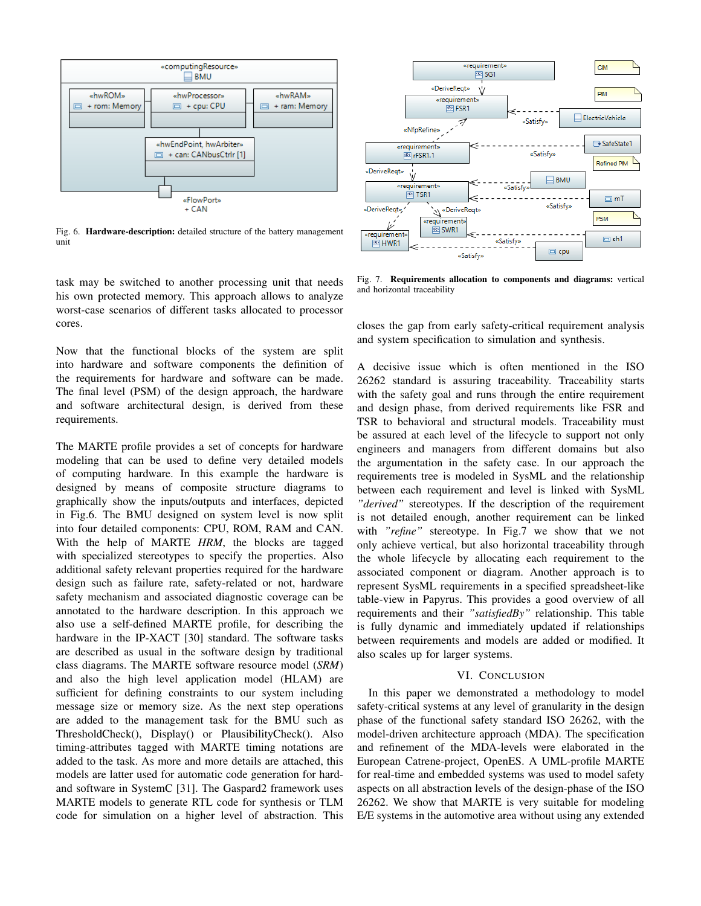

Fig. 6. Hardware-description: detailed structure of the battery management unit

task may be switched to another processing unit that needs his own protected memory. This approach allows to analyze worst-case scenarios of different tasks allocated to processor cores.

Now that the functional blocks of the system are split into hardware and software components the definition of the requirements for hardware and software can be made. The final level (PSM) of the design approach, the hardware and software architectural design, is derived from these requirements.

The MARTE profile provides a set of concepts for hardware modeling that can be used to define very detailed models of computing hardware. In this example the hardware is designed by means of composite structure diagrams to graphically show the inputs/outputs and interfaces, depicted in Fig.6. The BMU designed on system level is now split into four detailed components: CPU, ROM, RAM and CAN. With the help of MARTE *HRM*, the blocks are tagged with specialized stereotypes to specify the properties. Also additional safety relevant properties required for the hardware design such as failure rate, safety-related or not, hardware safety mechanism and associated diagnostic coverage can be annotated to the hardware description. In this approach we also use a self-defined MARTE profile, for describing the hardware in the IP-XACT [30] standard. The software tasks are described as usual in the software design by traditional class diagrams. The MARTE software resource model (*SRM*) and also the high level application model (HLAM) are sufficient for defining constraints to our system including message size or memory size. As the next step operations are added to the management task for the BMU such as ThresholdCheck(), Display() or PlausibilityCheck(). Also timing-attributes tagged with MARTE timing notations are added to the task. As more and more details are attached, this models are latter used for automatic code generation for hardand software in SystemC [31]. The Gaspard2 framework uses MARTE models to generate RTL code for synthesis or TLM code for simulation on a higher level of abstraction. This



Fig. 7. Requirements allocation to components and diagrams: vertical and horizontal traceability

closes the gap from early safety-critical requirement analysis and system specification to simulation and synthesis.

A decisive issue which is often mentioned in the ISO 26262 standard is assuring traceability. Traceability starts with the safety goal and runs through the entire requirement and design phase, from derived requirements like FSR and TSR to behavioral and structural models. Traceability must be assured at each level of the lifecycle to support not only engineers and managers from different domains but also the argumentation in the safety case. In our approach the requirements tree is modeled in SysML and the relationship between each requirement and level is linked with SysML *"derived"* stereotypes. If the description of the requirement is not detailed enough, another requirement can be linked with *"refine"* stereotype. In Fig.7 we show that we not only achieve vertical, but also horizontal traceability through the whole lifecycle by allocating each requirement to the associated component or diagram. Another approach is to represent SysML requirements in a specified spreadsheet-like table-view in Papyrus. This provides a good overview of all requirements and their *"satisfiedBy"* relationship. This table is fully dynamic and immediately updated if relationships between requirements and models are added or modified. It also scales up for larger systems.

#### VI. CONCLUSION

In this paper we demonstrated a methodology to model safety-critical systems at any level of granularity in the design phase of the functional safety standard ISO 26262, with the model-driven architecture approach (MDA). The specification and refinement of the MDA-levels were elaborated in the European Catrene-project, OpenES. A UML-profile MARTE for real-time and embedded systems was used to model safety aspects on all abstraction levels of the design-phase of the ISO 26262. We show that MARTE is very suitable for modeling E/E systems in the automotive area without using any extended